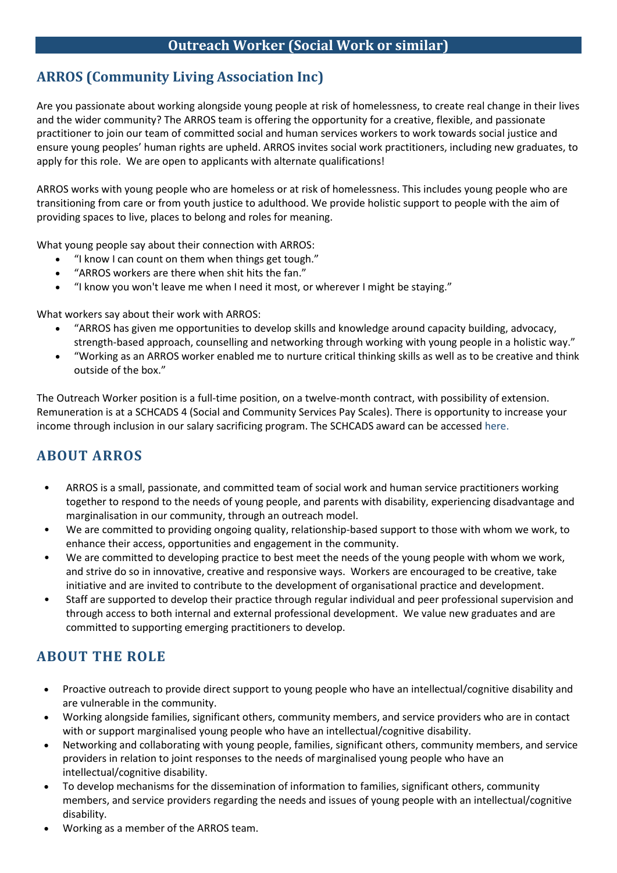# **ARROS (Community Living Association Inc)**

Are you passionate about working alongside young people at risk of homelessness, to create real change in their lives and the wider community? The ARROS team is offering the opportunity for a creative, flexible, and passionate practitioner to join our team of committed social and human services workers to work towards social justice and ensure young peoples' human rights are upheld. ARROS invites social work practitioners, including new graduates, to apply for this role. We are open to applicants with alternate qualifications!

ARROS works with young people who are homeless or at risk of homelessness. This includes young people who are transitioning from care or from youth justice to adulthood. We provide holistic support to people with the aim of providing spaces to live, places to belong and roles for meaning.

What young people say about their connection with ARROS:

- "I know I can count on them when things get tough."
- "ARROS workers are there when shit hits the fan."
- "I know you won't leave me when I need it most, or wherever I might be staying."

What workers say about their work with ARROS:

- "ARROS has given me opportunities to develop skills and knowledge around capacity building, advocacy, strength-based approach, counselling and networking through working with young people in a holistic way."
- "Working as an ARROS worker enabled me to nurture critical thinking skills as well as to be creative and think outside of the box."

The Outreach Worker position is a full-time position, on a twelve-month contract, with possibility of extension. Remuneration is at a SCHCADS 4 (Social and Community Services Pay Scales). There is opportunity to increase your income through inclusion in our salary sacrificing program. The SCHCADS award can be accessed [here.](https://www.fwc.gov.au/documents/documents/modern_awards/award/ma000100/default.htm)

## **ABOUT ARROS**

- ARROS is a small, passionate, and committed team of social work and human service practitioners working together to respond to the needs of young people, and parents with disability, experiencing disadvantage and marginalisation in our community, through an outreach model.
- We are committed to providing ongoing quality, relationship-based support to those with whom we work, to enhance their access, opportunities and engagement in the community.
- We are committed to developing practice to best meet the needs of the young people with whom we work, and strive do so in innovative, creative and responsive ways. Workers are encouraged to be creative, take initiative and are invited to contribute to the development of organisational practice and development.
- Staff are supported to develop their practice through regular individual and peer professional supervision and through access to both internal and external professional development. We value new graduates and are committed to supporting emerging practitioners to develop.

## **ABOUT THE ROLE**

- Proactive outreach to provide direct support to young people who have an intellectual/cognitive disability and are vulnerable in the community.
- Working alongside families, significant others, community members, and service providers who are in contact with or support marginalised young people who have an intellectual/cognitive disability.
- Networking and collaborating with young people, families, significant others, community members, and service providers in relation to joint responses to the needs of marginalised young people who have an intellectual/cognitive disability.
- To develop mechanisms for the dissemination of information to families, significant others, community members, and service providers regarding the needs and issues of young people with an intellectual/cognitive disability.
- Working as a member of the ARROS team.